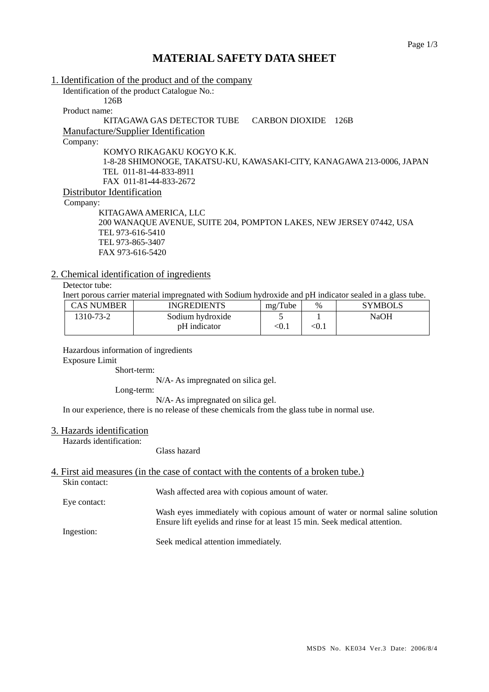# **MATERIAL SAFETY DATA SHEET**

| 1. Identification of the product and of the company                   |
|-----------------------------------------------------------------------|
| Identification of the product Catalogue No.:                          |
| 126B                                                                  |
| Product name:                                                         |
| KITAGAWA GAS DETECTOR TUBE<br>CARBON DIOXIDE 126B                     |
| <b>Manufacture/Supplier Identification</b>                            |
| Company:                                                              |
| KOMYO RIKAGAKU KOGYO K.K.                                             |
| 1-8-28 SHIMONOGE, TAKATSU-KU, KAWASAKI-CITY, KANAGAWA 213-0006, JAPAN |
| TEL 011-81-44-833-8911                                                |
| FAX 011-81-44-833-2672                                                |
| Distributor Identification                                            |
| Company:                                                              |
| KITAGAWA AMERICA, LLC                                                 |
| 200 WANAQUE AVENUE, SUITE 204, POMPTON LAKES, NEW JERSEY 07442, USA   |
| TEL 973-616-5410                                                      |
| TEL 973-865-3407                                                      |
| FAX 973-616-5420                                                      |

# 2. Chemical identification of ingredients

Detector tube:

Inert porous carrier material impregnated with Sodium hydroxide and pH indicator sealed in a glass tube.

| CAS NUMBER | <b>INGREDIENTS</b> | mg/Tube | $\%$       | <b>SYMBOLS</b> |
|------------|--------------------|---------|------------|----------------|
| 1310-73-2  | Sodium hydroxide   |         |            | NaOH           |
|            | pH indicator       | < 0.1   | $\leq 0.1$ |                |

Hazardous information of ingredients

Exposure Limit

Short-term:

N/A- As impregnated on silica gel.

Long-term:

N/A- As impregnated on silica gel.

In our experience, there is no release of these chemicals from the glass tube in normal use.

### 3. Hazards identification

Hazards identification:

### Glass hazard

4. First aid measures (in the case of contact with the contents of a broken tube.)

Skin contact:

Wash affected area with copious amount of water.

Eye contact:

Ingestion:

Wash eyes immediately with copious amount of water or normal saline solution Ensure lift eyelids and rinse for at least 15 min. Seek medical attention.

Seek medical attention immediately.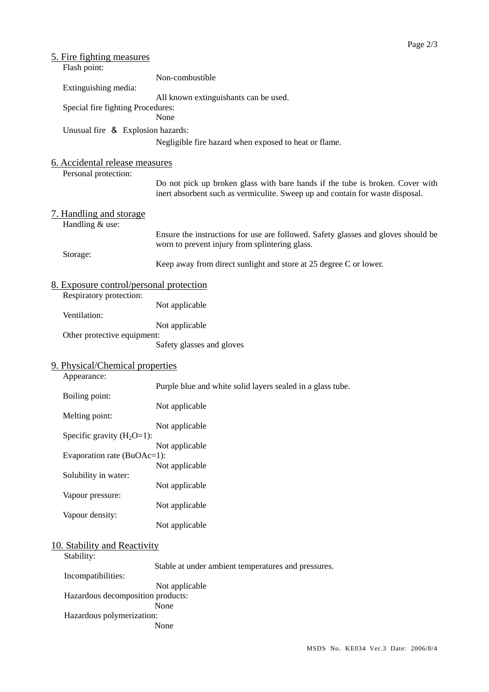| <u>5. Fire fighting measures</u>        |                                                                                   |  |  |  |  |
|-----------------------------------------|-----------------------------------------------------------------------------------|--|--|--|--|
| Flash point:                            |                                                                                   |  |  |  |  |
| Extinguishing media:                    | Non-combustible                                                                   |  |  |  |  |
|                                         | All known extinguishants can be used.                                             |  |  |  |  |
| Special fire fighting Procedures:       |                                                                                   |  |  |  |  |
|                                         | None                                                                              |  |  |  |  |
| Unusual fire & Explosion hazards:       |                                                                                   |  |  |  |  |
|                                         | Negligible fire hazard when exposed to heat or flame.                             |  |  |  |  |
|                                         |                                                                                   |  |  |  |  |
| 6. Accidental release measures          |                                                                                   |  |  |  |  |
| Personal protection:                    | Do not pick up broken glass with bare hands if the tube is broken. Cover with     |  |  |  |  |
|                                         | inert absorbent such as vermiculite. Sweep up and contain for waste disposal.     |  |  |  |  |
|                                         |                                                                                   |  |  |  |  |
| <u>7. Handling and storage</u>          |                                                                                   |  |  |  |  |
| Handling & use:                         |                                                                                   |  |  |  |  |
|                                         | Ensure the instructions for use are followed. Safety glasses and gloves should be |  |  |  |  |
| Storage:                                | worn to prevent injury from splintering glass.                                    |  |  |  |  |
|                                         | Keep away from direct sunlight and store at 25 degree C or lower.                 |  |  |  |  |
|                                         |                                                                                   |  |  |  |  |
| 8. Exposure control/personal protection |                                                                                   |  |  |  |  |
| Respiratory protection:                 |                                                                                   |  |  |  |  |
|                                         | Not applicable                                                                    |  |  |  |  |
| Ventilation:                            |                                                                                   |  |  |  |  |
| Other protective equipment:             | Not applicable                                                                    |  |  |  |  |
|                                         | Safety glasses and gloves                                                         |  |  |  |  |
|                                         |                                                                                   |  |  |  |  |
| 9. Physical/Chemical properties         |                                                                                   |  |  |  |  |
| Appearance:                             |                                                                                   |  |  |  |  |
|                                         | Purple blue and white solid layers sealed in a glass tube.                        |  |  |  |  |
| Boiling point:                          | Not applicable                                                                    |  |  |  |  |
| Melting point:                          |                                                                                   |  |  |  |  |
|                                         | Not applicable                                                                    |  |  |  |  |
| Specific gravity $(H_2O=1)$ :           |                                                                                   |  |  |  |  |
|                                         | Not applicable                                                                    |  |  |  |  |
| Evaporation rate (BuOAc=1):             | Not applicable                                                                    |  |  |  |  |
| Solubility in water:                    |                                                                                   |  |  |  |  |
|                                         | Not applicable                                                                    |  |  |  |  |
| Vapour pressure:                        |                                                                                   |  |  |  |  |
|                                         | Not applicable                                                                    |  |  |  |  |
| Vapour density:                         | Not applicable                                                                    |  |  |  |  |
|                                         |                                                                                   |  |  |  |  |
| 10. Stability and Reactivity            |                                                                                   |  |  |  |  |
| Stability:                              |                                                                                   |  |  |  |  |
|                                         | Stable at under ambient temperatures and pressures.                               |  |  |  |  |
| Incompatibilities:                      |                                                                                   |  |  |  |  |
|                                         | Not applicable                                                                    |  |  |  |  |
| Hazardous decomposition products:       | None                                                                              |  |  |  |  |
| Hazardous polymerization:               |                                                                                   |  |  |  |  |
|                                         | None                                                                              |  |  |  |  |